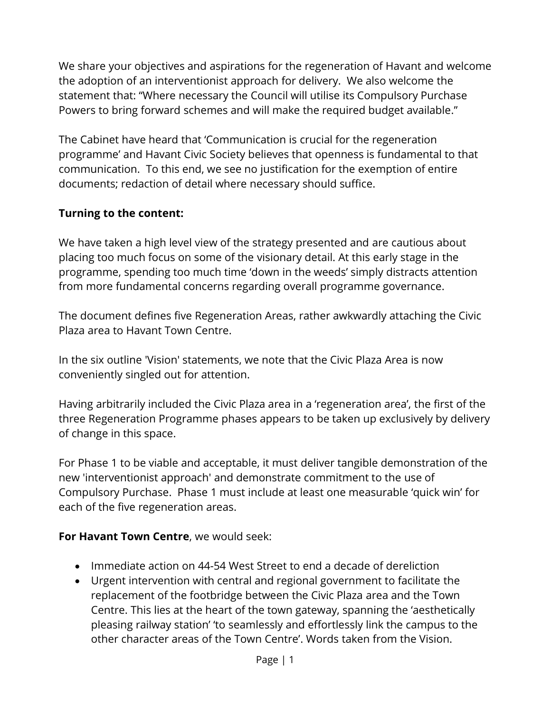We share your objectives and aspirations for the regeneration of Havant and welcome the adoption of an interventionist approach for delivery. We also welcome the statement that: "Where necessary the Council will utilise its Compulsory Purchase Powers to bring forward schemes and will make the required budget available."

The Cabinet have heard that 'Communication is crucial for the regeneration programme' and Havant Civic Society believes that openness is fundamental to that communication. To this end, we see no justification for the exemption of entire documents; redaction of detail where necessary should suffice.

## **Turning to the content:**

We have taken a high level view of the strategy presented and are cautious about placing too much focus on some of the visionary detail. At this early stage in the programme, spending too much time 'down in the weeds' simply distracts attention from more fundamental concerns regarding overall programme governance.

The document defines five Regeneration Areas, rather awkwardly attaching the Civic Plaza area to Havant Town Centre.

In the six outline 'Vision' statements, we note that the Civic Plaza Area is now conveniently singled out for attention.

Having arbitrarily included the Civic Plaza area in a 'regeneration area', the first of the three Regeneration Programme phases appears to be taken up exclusively by delivery of change in this space.

For Phase 1 to be viable and acceptable, it must deliver tangible demonstration of the new 'interventionist approach' and demonstrate commitment to the use of Compulsory Purchase. Phase 1 must include at least one measurable 'quick win' for each of the five regeneration areas.

### **For Havant Town Centre**, we would seek:

- Immediate action on 44-54 West Street to end a decade of dereliction
- Urgent intervention with central and regional government to facilitate the replacement of the footbridge between the Civic Plaza area and the Town Centre. This lies at the heart of the town gateway, spanning the 'aesthetically pleasing railway station' 'to seamlessly and effortlessly link the campus to the other character areas of the Town Centre'. Words taken from the Vision.